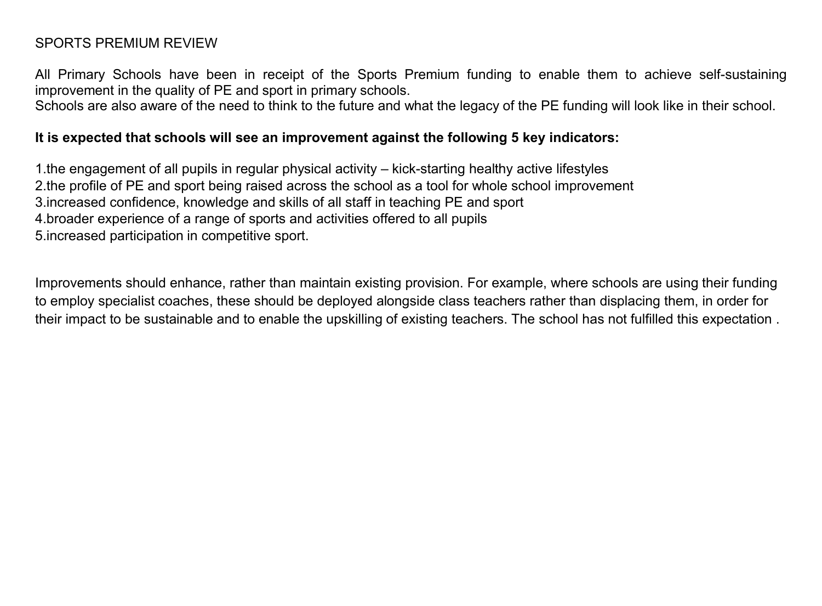## SPORTS PREMIUM REVIEW

All Primary Schools have been in receipt of the Sports Premium funding to enable them to achieve self-sustaining improvement in the quality of PE and sport in primary schools.

Schools are also aware of the need to think to the future and what the legacy of the PE funding will look like in their school.

## **It is expected that schools will see an improvement against the following 5 key indicators:**

1.the engagement of all pupils in regular physical activity – kick-starting healthy active lifestyles 2.the profile of PE and sport being raised across the school as a tool for whole school improvement 3.increased confidence, knowledge and skills of all staff in teaching PE and sport 4.broader experience of a range of sports and activities offered to all pupils 5.increased participation in competitive sport.

Improvements should enhance, rather than maintain existing provision. For example, where schools are using their funding to employ specialist coaches, these should be deployed alongside class teachers rather than displacing them, in order for their impact to be sustainable and to enable the upskilling of existing teachers. The school has not fulfilled this expectation .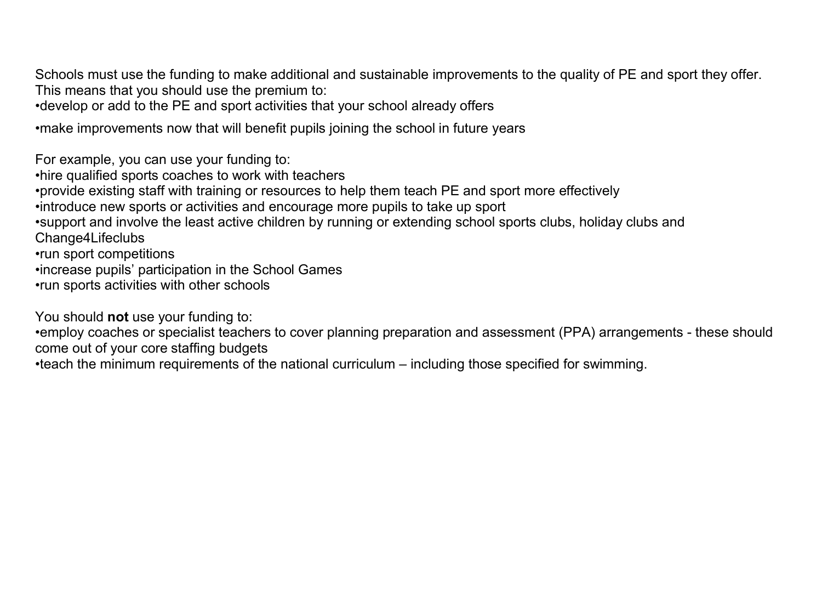Schools must use the funding to make additional and sustainable improvements to the quality of PE and sport they offer. This means that you should use the premium to:

•develop or add to the PE and sport activities that your school already offers

•make improvements now that will benefit pupils joining the school in future years

For example, you can use your funding to:

•hire qualified sports coaches to work with teachers

•provide existing staff with training or resources to help them teach PE and sport more effectively

•introduce new sports or activities and encourage more pupils to take up sport

•support and involve the least active children by running or extending school sports clubs, holiday clubs and Change4Lifeclubs

•run sport competitions

•increase pupils' participation in the School Games

•run sports activities with other schools

You should **not** use your funding to:

•employ coaches or specialist teachers to cover planning preparation and assessment (PPA) arrangements - these should come out of your core staffing budgets

•teach the minimum requirements of the national curriculum – including those specified for swimming.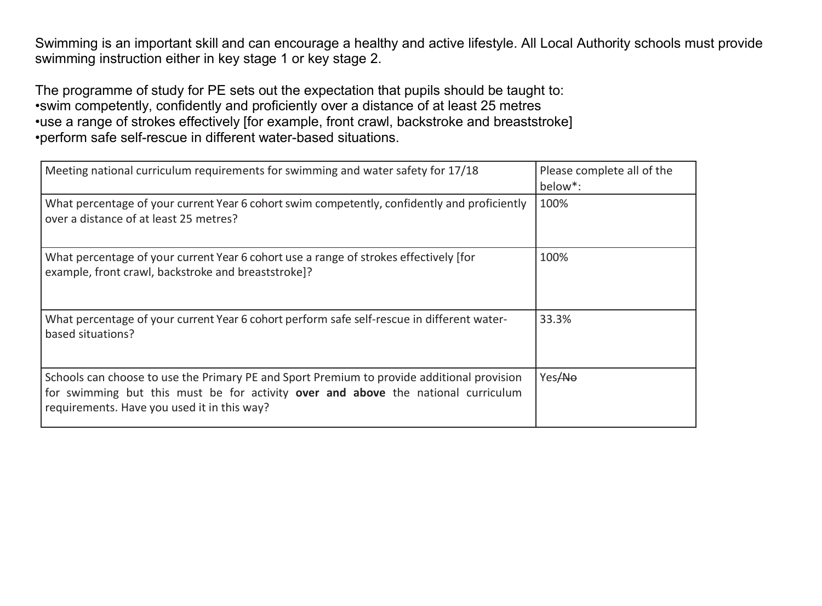Swimming is an important skill and can encourage a healthy and active lifestyle. All Local Authority schools must provide swimming instruction either in key stage 1 or key stage 2.

The programme of study for PE sets out the expectation that pupils should be taught to: •swim competently, confidently and proficiently over a distance of at least 25 metres •use a range of strokes effectively [for example, front crawl, backstroke and breaststroke] •perform safe self-rescue in different water-based situations.

| Meeting national curriculum requirements for swimming and water safety for 17/18                                                                                                                                               | Please complete all of the<br>below <sup>*</sup> : |
|--------------------------------------------------------------------------------------------------------------------------------------------------------------------------------------------------------------------------------|----------------------------------------------------|
| What percentage of your current Year 6 cohort swim competently, confidently and proficiently<br>over a distance of at least 25 metres?                                                                                         | 100%                                               |
| What percentage of your current Year 6 cohort use a range of strokes effectively [for<br>example, front crawl, backstroke and breaststroke]?                                                                                   | 100%                                               |
| What percentage of your current Year 6 cohort perform safe self-rescue in different water-<br>based situations?                                                                                                                | 33.3%                                              |
| Schools can choose to use the Primary PE and Sport Premium to provide additional provision<br>for swimming but this must be for activity over and above the national curriculum<br>requirements. Have you used it in this way? | Yes <del>/No</del>                                 |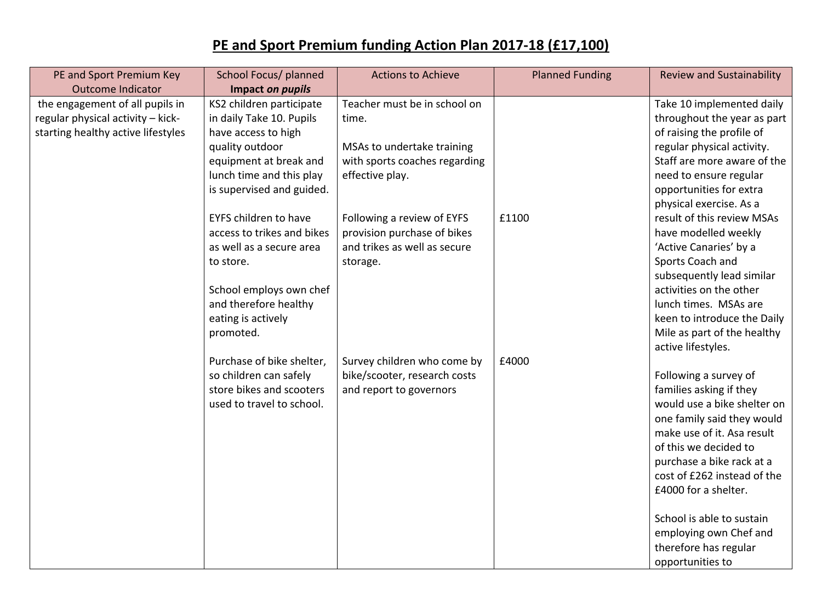## **PE and Sport Premium funding Action Plan 2017-18 (£17,100)**

| PE and Sport Premium Key           | School Focus/ planned        | <b>Actions to Achieve</b>     | <b>Planned Funding</b> | <b>Review and Sustainability</b>                     |
|------------------------------------|------------------------------|-------------------------------|------------------------|------------------------------------------------------|
| <b>Outcome Indicator</b>           | Impact on pupils             |                               |                        |                                                      |
| the engagement of all pupils in    | KS2 children participate     | Teacher must be in school on  |                        | Take 10 implemented daily                            |
| regular physical activity - kick-  | in daily Take 10. Pupils     | time.                         |                        | throughout the year as part                          |
| starting healthy active lifestyles | have access to high          |                               |                        | of raising the profile of                            |
|                                    | quality outdoor              | MSAs to undertake training    |                        | regular physical activity.                           |
|                                    | equipment at break and       | with sports coaches regarding |                        | Staff are more aware of the                          |
|                                    | lunch time and this play     | effective play.               |                        | need to ensure regular                               |
|                                    | is supervised and guided.    |                               |                        | opportunities for extra                              |
|                                    |                              |                               |                        | physical exercise. As a                              |
|                                    | <b>EYFS children to have</b> | Following a review of EYFS    | £1100                  | result of this review MSAs                           |
|                                    | access to trikes and bikes   | provision purchase of bikes   |                        | have modelled weekly                                 |
|                                    | as well as a secure area     | and trikes as well as secure  |                        | 'Active Canaries' by a                               |
|                                    | to store.                    | storage.                      |                        | Sports Coach and                                     |
|                                    | School employs own chef      |                               |                        | subsequently lead similar<br>activities on the other |
|                                    | and therefore healthy        |                               |                        | lunch times. MSAs are                                |
|                                    | eating is actively           |                               |                        | keen to introduce the Daily                          |
|                                    | promoted.                    |                               |                        | Mile as part of the healthy                          |
|                                    |                              |                               |                        | active lifestyles.                                   |
|                                    | Purchase of bike shelter,    | Survey children who come by   | £4000                  |                                                      |
|                                    | so children can safely       | bike/scooter, research costs  |                        | Following a survey of                                |
|                                    | store bikes and scooters     | and report to governors       |                        | families asking if they                              |
|                                    | used to travel to school.    |                               |                        | would use a bike shelter on                          |
|                                    |                              |                               |                        | one family said they would                           |
|                                    |                              |                               |                        | make use of it. Asa result                           |
|                                    |                              |                               |                        | of this we decided to                                |
|                                    |                              |                               |                        | purchase a bike rack at a                            |
|                                    |                              |                               |                        | cost of £262 instead of the                          |
|                                    |                              |                               |                        | £4000 for a shelter.                                 |
|                                    |                              |                               |                        | School is able to sustain                            |
|                                    |                              |                               |                        | employing own Chef and                               |
|                                    |                              |                               |                        | therefore has regular                                |
|                                    |                              |                               |                        | opportunities to                                     |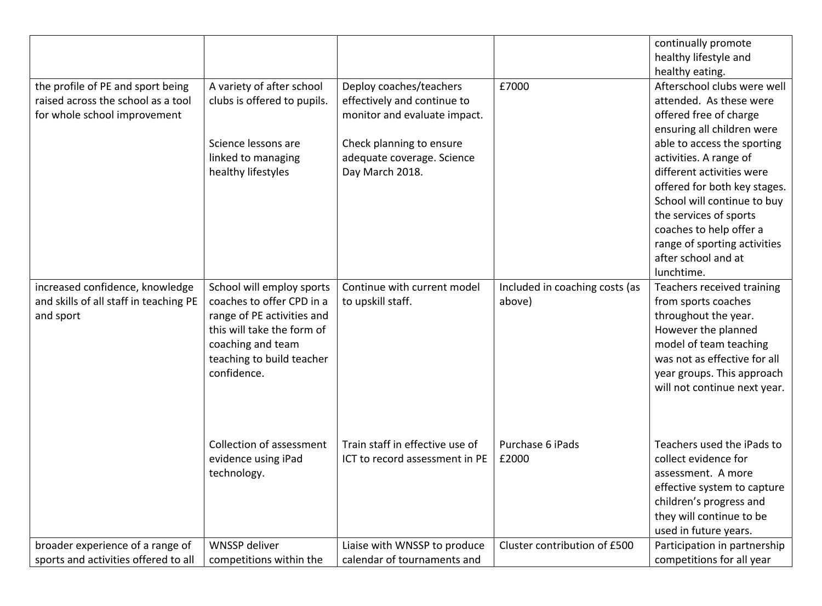|                                        |                             |                                 |                                | continually promote          |
|----------------------------------------|-----------------------------|---------------------------------|--------------------------------|------------------------------|
|                                        |                             |                                 |                                | healthy lifestyle and        |
|                                        |                             |                                 |                                | healthy eating.              |
| the profile of PE and sport being      | A variety of after school   | Deploy coaches/teachers         | £7000                          | Afterschool clubs were well  |
| raised across the school as a tool     | clubs is offered to pupils. | effectively and continue to     |                                | attended. As these were      |
| for whole school improvement           |                             | monitor and evaluate impact.    |                                | offered free of charge       |
|                                        |                             |                                 |                                | ensuring all children were   |
|                                        | Science lessons are         | Check planning to ensure        |                                | able to access the sporting  |
|                                        | linked to managing          | adequate coverage. Science      |                                | activities. A range of       |
|                                        | healthy lifestyles          | Day March 2018.                 |                                | different activities were    |
|                                        |                             |                                 |                                | offered for both key stages. |
|                                        |                             |                                 |                                | School will continue to buy  |
|                                        |                             |                                 |                                | the services of sports       |
|                                        |                             |                                 |                                | coaches to help offer a      |
|                                        |                             |                                 |                                | range of sporting activities |
|                                        |                             |                                 |                                | after school and at          |
|                                        |                             |                                 |                                | lunchtime.                   |
| increased confidence, knowledge        | School will employ sports   | Continue with current model     | Included in coaching costs (as | Teachers received training   |
| and skills of all staff in teaching PE | coaches to offer CPD in a   | to upskill staff.               | above)                         | from sports coaches          |
| and sport                              | range of PE activities and  |                                 |                                | throughout the year.         |
|                                        | this will take the form of  |                                 |                                | However the planned          |
|                                        | coaching and team           |                                 |                                | model of team teaching       |
|                                        | teaching to build teacher   |                                 |                                | was not as effective for all |
|                                        | confidence.                 |                                 |                                | year groups. This approach   |
|                                        |                             |                                 |                                | will not continue next year. |
|                                        |                             |                                 |                                |                              |
|                                        |                             |                                 |                                |                              |
|                                        |                             |                                 |                                |                              |
|                                        | Collection of assessment    | Train staff in effective use of | Purchase 6 iPads               | Teachers used the iPads to   |
|                                        | evidence using iPad         | ICT to record assessment in PE  | £2000                          | collect evidence for         |
|                                        | technology.                 |                                 |                                | assessment. A more           |
|                                        |                             |                                 |                                | effective system to capture  |
|                                        |                             |                                 |                                | children's progress and      |
|                                        |                             |                                 |                                | they will continue to be     |
|                                        |                             |                                 |                                | used in future years.        |
| broader experience of a range of       | WNSSP deliver               | Liaise with WNSSP to produce    | Cluster contribution of £500   | Participation in partnership |
| sports and activities offered to all   | competitions within the     | calendar of tournaments and     |                                | competitions for all year    |